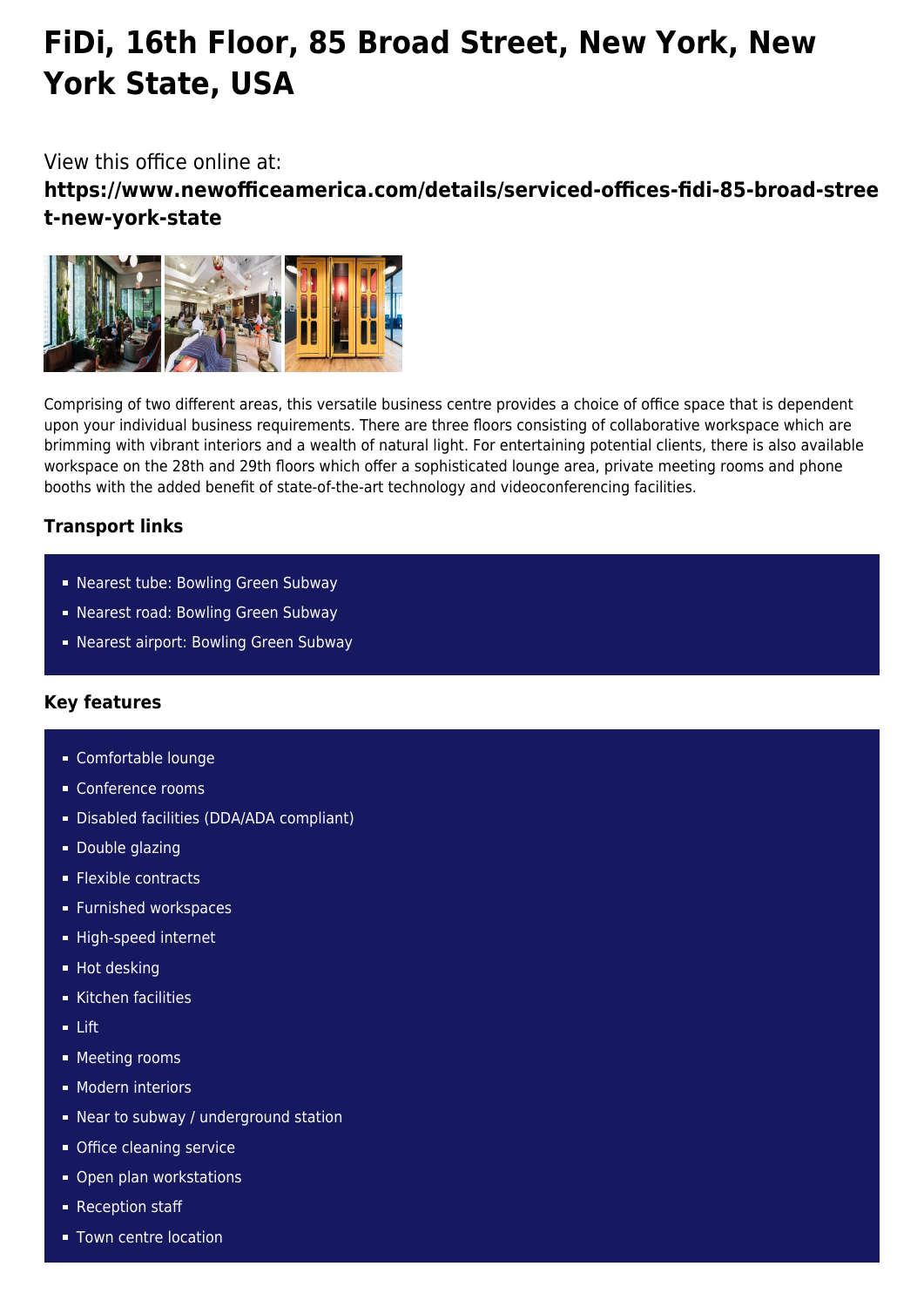# **FiDi, 16th Floor, 85 Broad Street, New York, New York State, USA**

## View this office online at:

**https://www.newofficeamerica.com/details/serviced-offices-fidi-85-broad-stree t-new-york-state**



Comprising of two different areas, this versatile business centre provides a choice of office space that is dependent upon your individual business requirements. There are three floors consisting of collaborative workspace which are brimming with vibrant interiors and a wealth of natural light. For entertaining potential clients, there is also available workspace on the 28th and 29th floors which offer a sophisticated lounge area, private meeting rooms and phone booths with the added benefit of state-of-the-art technology and videoconferencing facilities.

### **Transport links**

- Nearest tube: Bowling Green Subway
- Nearest road: Bowling Green Subway
- Nearest airport: Bowling Green Subway

### **Key features**

- Comfortable lounge
- Conference rooms
- Disabled facilities (DDA/ADA compliant)
- **Double glazing**
- **Flexible contracts**
- **Furnished workspaces**
- High-speed internet
- **Hot desking**
- Kitchen facilities
- Lift
- **Meeting rooms**
- **Modern interiors**
- Near to subway / underground station
- **Office cleaning service**
- **Open plan workstations**
- Reception staff
- **Town centre location**